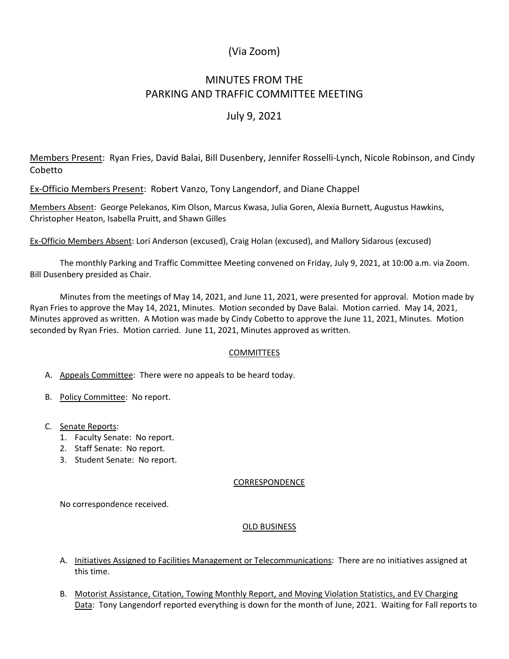# (Via Zoom)

# MINUTES FROM THE PARKING AND TRAFFIC COMMITTEE MEETING

### July 9, 2021

Members Present: Ryan Fries, David Balai, Bill Dusenbery, Jennifer Rosselli-Lynch, Nicole Robinson, and Cindy Cobetto

Ex-Officio Members Present: Robert Vanzo, Tony Langendorf, and Diane Chappel

Members Absent: George Pelekanos, Kim Olson, Marcus Kwasa, Julia Goren, Alexia Burnett, Augustus Hawkins, Christopher Heaton, Isabella Pruitt, and Shawn Gilles

Ex-Officio Members Absent: Lori Anderson (excused), Craig Holan (excused), and Mallory Sidarous (excused)

The monthly Parking and Traffic Committee Meeting convened on Friday, July 9, 2021, at 10:00 a.m. via Zoom. Bill Dusenbery presided as Chair.

Minutes from the meetings of May 14, 2021, and June 11, 2021, were presented for approval. Motion made by Ryan Fries to approve the May 14, 2021, Minutes. Motion seconded by Dave Balai. Motion carried. May 14, 2021, Minutes approved as written. A Motion was made by Cindy Cobetto to approve the June 11, 2021, Minutes. Motion seconded by Ryan Fries. Motion carried. June 11, 2021, Minutes approved as written.

### **COMMITTEES**

- A. Appeals Committee: There were no appeals to be heard today.
- B. Policy Committee: No report.
- C. Senate Reports:
	- 1. Faculty Senate: No report.
	- 2. Staff Senate: No report.
	- 3. Student Senate: No report.

#### CORRESPONDENCE

No correspondence received.

#### OLD BUSINESS

- A. Initiatives Assigned to Facilities Management or Telecommunications: There are no initiatives assigned at this time.
- B. Motorist Assistance, Citation, Towing Monthly Report, and Moving Violation Statistics, and EV Charging Data: Tony Langendorf reported everything is down for the month of June, 2021. Waiting for Fall reports to